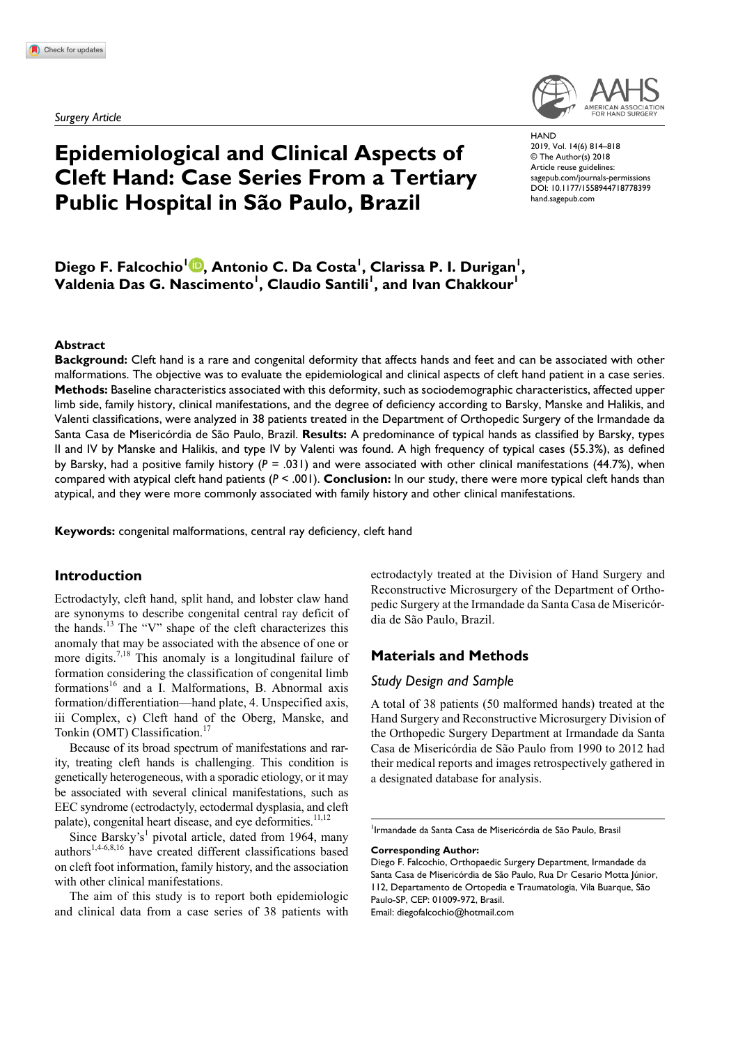*Surgery Article*

# **Epidemiological and Clinical Aspects of Cleft Hand: Case Series From a Tertiary Public Hospital in São Paulo, Brazil**

https://doi.org/10.1177/1558944718778399 DOI: 10.1177/1558944718778399 **HAND** 2019, Vol. 14(6) 814–818 © The Author(s) 2018 Article reuse guidelines: [sagepub.com/journals-permissions](https://us.sagepub.com/en-us/journals-permissions) [hand.sagepub.com](http://hand.sagepub.com)

Diego F. Falcochio<sup>l (D</sup>, Antonio C. Da Costa<sup>1</sup>, Clarissa P. I. Durigan<sup>1</sup>,  $\mathsf{V}$ aldenia Das G. Nascimento<sup>l</sup>, Claudio Santili<sup>l</sup>, and Ivan Chakkour<sup>l</sup>

#### **Abstract**

**Background:** Cleft hand is a rare and congenital deformity that affects hands and feet and can be associated with other malformations. The objective was to evaluate the epidemiological and clinical aspects of cleft hand patient in a case series. **Methods:** Baseline characteristics associated with this deformity, such as sociodemographic characteristics, affected upper limb side, family history, clinical manifestations, and the degree of deficiency according to Barsky, Manske and Halikis, and Valenti classifications, were analyzed in 38 patients treated in the Department of Orthopedic Surgery of the Irmandade da Santa Casa de Misericórdia de São Paulo, Brazil. **Results:** A predominance of typical hands as classified by Barsky, types II and IV by Manske and Halikis, and type IV by Valenti was found. A high frequency of typical cases (55.3%), as defined by Barsky, had a positive family history ( $P = .031$ ) and were associated with other clinical manifestations (44.7%), when compared with atypical cleft hand patients (*P* < .001). **Conclusion:** In our study, there were more typical cleft hands than atypical, and they were more commonly associated with family history and other clinical manifestations.

**Keywords:** congenital malformations, central ray deficiency, cleft hand

# **Introduction**

Ectrodactyly, cleft hand, split hand, and lobster claw hand are synonyms to describe congenital central ray deficit of the hands.<sup>13</sup> The "V" shape of the cleft characterizes this anomaly that may be associated with the absence of one or more digits.<sup>7,18</sup> This anomaly is a longitudinal failure of formation considering the classification of congenital limb formations<sup>16</sup> and a I. Malformations, B. Abnormal axis formation/differentiation—hand plate, 4. Unspecified axis, iii Complex, c) Cleft hand of the Oberg, Manske, and Tonkin (OMT) Classification.<sup>17</sup>

Because of its broad spectrum of manifestations and rarity, treating cleft hands is challenging. This condition is genetically heterogeneous, with a sporadic etiology, or it may be associated with several clinical manifestations, such as EEC syndrome (ectrodactyly, ectodermal dysplasia, and cleft palate), congenital heart disease, and eye deformities.<sup>11,12</sup>

Since Barsky's<sup>1</sup> pivotal article, dated from 1964, many authors<sup>1,4-6,8,16</sup> have created different classifications based on cleft foot information, family history, and the association with other clinical manifestations.

The aim of this study is to report both epidemiologic and clinical data from a case series of 38 patients with ectrodactyly treated at the Division of Hand Surgery and Reconstructive Microsurgery of the Department of Orthopedic Surgery at the Irmandade da Santa Casa de Misericórdia de São Paulo, Brazil.

# **Materials and Methods**

#### *Study Design and Sample*

A total of 38 patients (50 malformed hands) treated at the Hand Surgery and Reconstructive Microsurgery Division of the Orthopedic Surgery Department at Irmandade da Santa Casa de Misericórdia de São Paulo from 1990 to 2012 had their medical reports and images retrospectively gathered in a designated database for analysis.

**Corresponding Author:**

Email: [diegofalcochio@hotmail.com](mailto:diegofalcochio@hotmail.com)

<sup>&</sup>lt;sup>1</sup> Irmandade da Santa Casa de Misericórdia de São Paulo, Brasil

Diego F. Falcochio, Orthopaedic Surgery Department, Irmandade da Santa Casa de Misericórdia de São Paulo, Rua Dr Cesario Motta Júnior, 112, Departamento de Ortopedia e Traumatologia, Vila Buarque, São Paulo-SP, CEP: 01009-972, Brasil.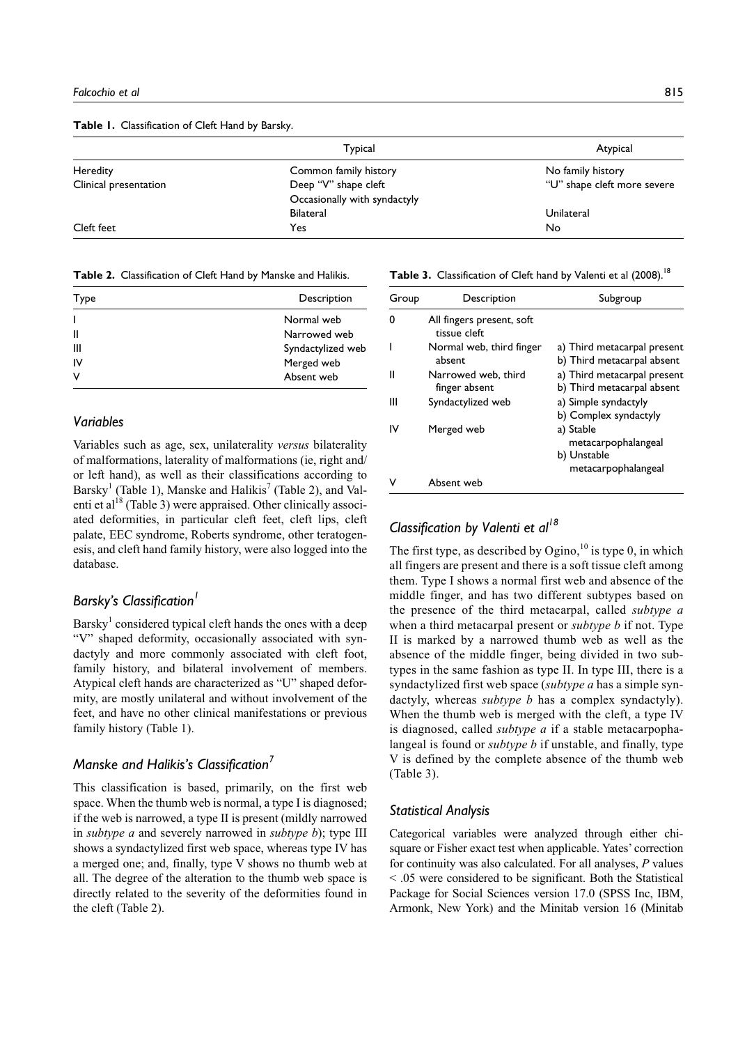**Table 1.** Classification of Cleft Hand by Barsky.

|                       | Typical                      | Atypical                    |
|-----------------------|------------------------------|-----------------------------|
| Heredity              | Common family history        | No family history           |
| Clinical presentation | Deep "V" shape cleft         | "U" shape cleft more severe |
|                       | Occasionally with syndactyly |                             |
|                       | <b>Bilateral</b>             | Unilateral                  |
| Cleft feet            | Yes                          | No                          |

**Table 2.** Classification of Cleft Hand by Manske and Halikis.

| Type | Description       |  |
|------|-------------------|--|
|      | Normal web        |  |
| Ш    | Narrowed web      |  |
| Ш    | Syndactylized web |  |
| IV   | Merged web        |  |
| ν    | Absent web        |  |
|      |                   |  |

#### *Variables*

Variables such as age, sex, unilaterality *versus* bilaterality of malformations, laterality of malformations (ie, right and/ or left hand), as well as their classifications according to Barsky<sup>1</sup> (Table 1), Manske and Halikis<sup>7</sup> (Table 2), and Valenti et al<sup>18</sup> (Table 3) were appraised. Other clinically associated deformities, in particular cleft feet, cleft lips, cleft palate, EEC syndrome, Roberts syndrome, other teratogenesis, and cleft hand family history, were also logged into the database.

# **Barsky's Classification<sup>1</sup>**

Barsky<sup>1</sup> considered typical cleft hands the ones with a deep "V" shaped deformity, occasionally associated with syndactyly and more commonly associated with cleft foot, family history, and bilateral involvement of members. Atypical cleft hands are characterized as "U" shaped deformity, are mostly unilateral and without involvement of the feet, and have no other clinical manifestations or previous family history (Table 1).

## *Manske and Halikis's Classification7*

This classification is based, primarily, on the first web space. When the thumb web is normal, a type I is diagnosed; if the web is narrowed, a type II is present (mildly narrowed in *subtype a* and severely narrowed in *subtype b*); type III shows a syndactylized first web space, whereas type IV has a merged one; and, finally, type V shows no thumb web at all. The degree of the alteration to the thumb web space is directly related to the severity of the deformities found in the cleft (Table 2).

Table 3. Classification of Cleft hand by Valenti et al (2008).<sup>18</sup>

| Group | Description                               | Subgroup                                                               |
|-------|-------------------------------------------|------------------------------------------------------------------------|
| ŋ     | All fingers present, soft<br>tissue cleft |                                                                        |
|       | Normal web, third finger<br>absent        | a) Third metacarpal present<br>b) Third metacarpal absent              |
| н     | Narrowed web, third<br>finger absent      | a) Third metacarpal present<br>b) Third metacarpal absent              |
| Ш     | Syndactylized web                         | a) Simple syndactyly<br>b) Complex syndactyly                          |
| ιv    | Merged web                                | a) Stable<br>metacarpophalangeal<br>b) Unstable<br>metacarpophalangeal |
|       | Absent web                                |                                                                        |

# *Classification by Valenti et al18*

The first type, as described by  $Ogino$ , <sup>10</sup> is type 0, in which all fingers are present and there is a soft tissue cleft among them. Type I shows a normal first web and absence of the middle finger, and has two different subtypes based on the presence of the third metacarpal, called *subtype a* when a third metacarpal present or *subtype b* if not. Type II is marked by a narrowed thumb web as well as the absence of the middle finger, being divided in two subtypes in the same fashion as type II. In type III, there is a syndactylized first web space (*subtype a* has a simple syndactyly, whereas *subtype b* has a complex syndactyly). When the thumb web is merged with the cleft, a type IV is diagnosed, called *subtype a* if a stable metacarpophalangeal is found or *subtype b* if unstable, and finally, type V is defined by the complete absence of the thumb web (Table 3).

#### *Statistical Analysis*

Categorical variables were analyzed through either chisquare or Fisher exact test when applicable. Yates' correction for continuity was also calculated. For all analyses, *P* values < .05 were considered to be significant. Both the Statistical Package for Social Sciences version 17.0 (SPSS Inc, IBM, Armonk, New York) and the Minitab version 16 (Minitab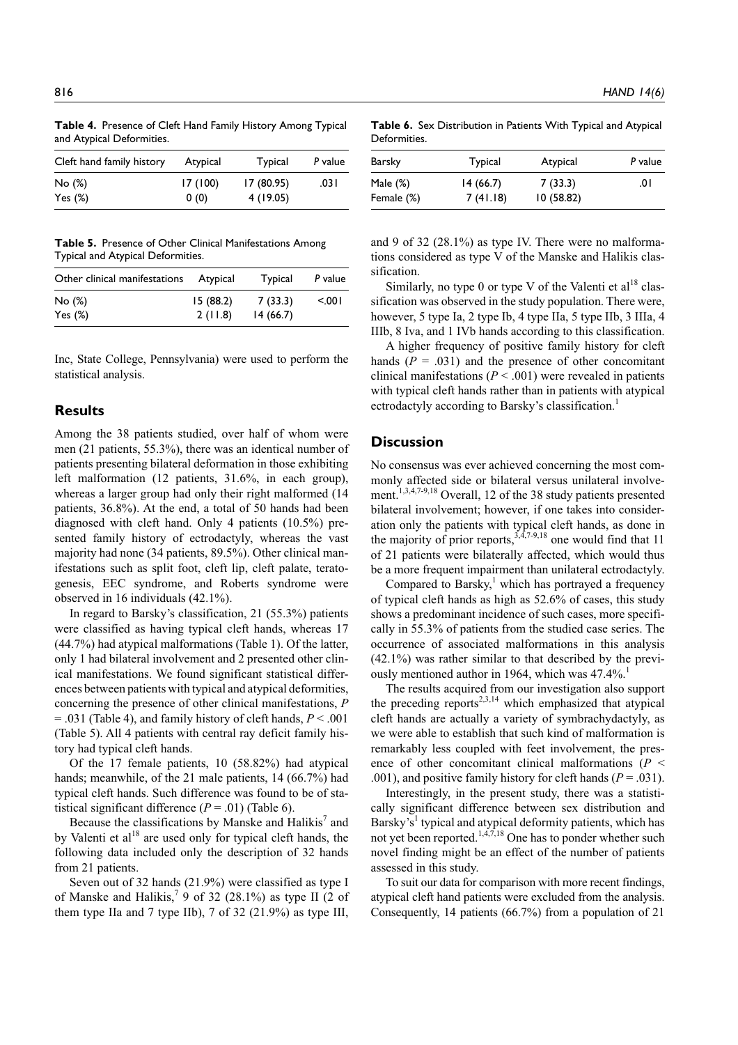**Table 4.** Presence of Cleft Hand Family History Among Typical and Atypical Deformities.

| Cleft hand family history | Atypical | <b>Typical</b> | P value |
|---------------------------|----------|----------------|---------|
| No (%)                    | 17 (100) | 17(80.95)      | .031    |
| Yes $(\%)$                | 0(0)     | 4 (19.05)      |         |

**Table 5.** Presence of Other Clinical Manifestations Among Typical and Atypical Deformities.

| Other clinical manifestations | Atypical | Typical  | P value |
|-------------------------------|----------|----------|---------|
| No (%)                        | 15(88.2) | 7(33.3)  | 5.001   |
| Yes $(\%)$                    | 2(11.8)  | 14(66.7) |         |

Inc, State College, Pennsylvania) were used to perform the statistical analysis.

#### **Results**

Among the 38 patients studied, over half of whom were men (21 patients, 55.3%), there was an identical number of patients presenting bilateral deformation in those exhibiting left malformation (12 patients, 31.6%, in each group), whereas a larger group had only their right malformed (14 patients, 36.8%). At the end, a total of 50 hands had been diagnosed with cleft hand. Only 4 patients (10.5%) presented family history of ectrodactyly, whereas the vast majority had none (34 patients, 89.5%). Other clinical manifestations such as split foot, cleft lip, cleft palate, teratogenesis, EEC syndrome, and Roberts syndrome were observed in 16 individuals (42.1%).

In regard to Barsky's classification, 21 (55.3%) patients were classified as having typical cleft hands, whereas 17 (44.7%) had atypical malformations (Table 1). Of the latter, only 1 had bilateral involvement and 2 presented other clinical manifestations. We found significant statistical differences between patients with typical and atypical deformities, concerning the presence of other clinical manifestations, *P* = .031 (Table 4), and family history of cleft hands, *P* < .001 (Table 5). All 4 patients with central ray deficit family history had typical cleft hands.

Of the 17 female patients, 10 (58.82%) had atypical hands; meanwhile, of the 21 male patients, 14 (66.7%) had typical cleft hands. Such difference was found to be of statistical significant difference  $(P = .01)$  (Table 6).

Because the classifications by Manske and Halikis<sup>7</sup> and by Valenti et  $al^{18}$  are used only for typical cleft hands, the following data included only the description of 32 hands from 21 patients.

Seven out of 32 hands (21.9%) were classified as type I of Manske and Halikis,<sup>7</sup> 9 of 32 (28.1%) as type II (2 of them type IIa and 7 type IIb), 7 of 32 (21.9%) as type III,

**Table 6.** Sex Distribution in Patients With Typical and Atypical Deformities.

| Barsky     | Typical  | Atypical  | P value |
|------------|----------|-----------|---------|
| Male (%)   | 14(66.7) | 7(33.3)   | 0١.     |
| Female (%) | 7(41.18) | 10(58.82) |         |

and 9 of 32 (28.1%) as type IV. There were no malformations considered as type V of the Manske and Halikis classification.

Similarly, no type 0 or type V of the Valenti et  $al^{18}$  classification was observed in the study population. There were, however, 5 type Ia, 2 type Ib, 4 type IIa, 5 type IIb, 3 IIIa, 4 IIIb, 8 Iva, and 1 IVb hands according to this classification.

A higher frequency of positive family history for cleft hands  $(P = .031)$  and the presence of other concomitant clinical manifestations  $(P < .001)$  were revealed in patients with typical cleft hands rather than in patients with atypical ectrodactyly according to Barsky's classification.<sup>1</sup>

# **Discussion**

No consensus was ever achieved concerning the most commonly affected side or bilateral versus unilateral involvement.<sup>1,3,4,7-9,18</sup> Overall, 12 of the 38 study patients presented bilateral involvement; however, if one takes into consideration only the patients with typical cleft hands, as done in the majority of prior reports,  $3,4,7-9,18$  one would find that 11 of 21 patients were bilaterally affected, which would thus be a more frequent impairment than unilateral ectrodactyly.

Compared to Barsky, $<sup>1</sup>$  which has portrayed a frequency</sup> of typical cleft hands as high as 52.6% of cases, this study shows a predominant incidence of such cases, more specifically in 55.3% of patients from the studied case series. The occurrence of associated malformations in this analysis (42.1%) was rather similar to that described by the previously mentioned author in 1964, which was 47.4%.<sup>1</sup>

The results acquired from our investigation also support the preceding reports<sup>2,3,14</sup> which emphasized that atypical cleft hands are actually a variety of symbrachydactyly, as we were able to establish that such kind of malformation is remarkably less coupled with feet involvement, the presence of other concomitant clinical malformations (*P* < .001), and positive family history for cleft hands  $(P = .031)$ .

Interestingly, in the present study, there was a statistically significant difference between sex distribution and Barsky's<sup>1</sup> typical and atypical deformity patients, which has not yet been reported.<sup>1,4,7,18</sup> One has to ponder whether such novel finding might be an effect of the number of patients assessed in this study.

To suit our data for comparison with more recent findings, atypical cleft hand patients were excluded from the analysis. Consequently, 14 patients (66.7%) from a population of 21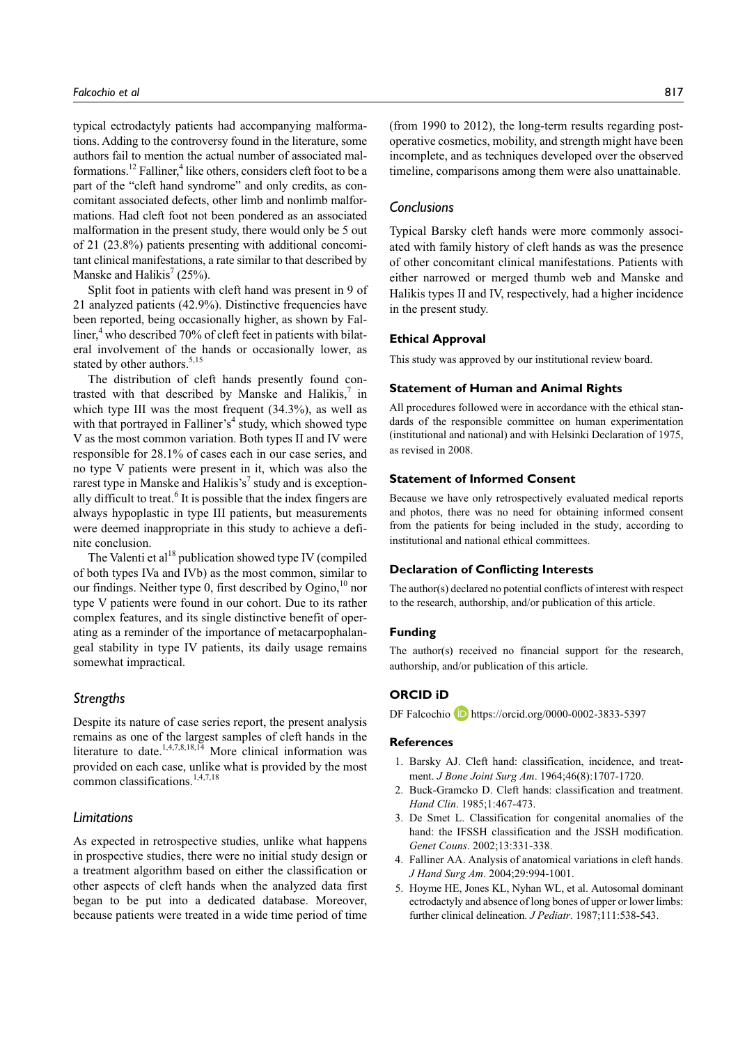typical ectrodactyly patients had accompanying malformations. Adding to the controversy found in the literature, some authors fail to mention the actual number of associated malformations.<sup>12</sup> Falliner,<sup>4</sup> like others, considers cleft foot to be a part of the "cleft hand syndrome" and only credits, as concomitant associated defects, other limb and nonlimb malformations. Had cleft foot not been pondered as an associated malformation in the present study, there would only be 5 out of 21 (23.8%) patients presenting with additional concomitant clinical manifestations, a rate similar to that described by Manske and Halikis<sup>7</sup> (25%).

Split foot in patients with cleft hand was present in 9 of 21 analyzed patients (42.9%). Distinctive frequencies have been reported, being occasionally higher, as shown by Falliner,<sup>4</sup> who described 70% of cleft feet in patients with bilateral involvement of the hands or occasionally lower, as stated by other authors.<sup>5,15</sup>

The distribution of cleft hands presently found contrasted with that described by Manske and Halikis, $\frac{7}{1}$  in which type III was the most frequent (34.3%), as well as with that portrayed in Falliner's<sup>4</sup> study, which showed type V as the most common variation. Both types II and IV were responsible for 28.1% of cases each in our case series, and no type V patients were present in it, which was also the rarest type in Manske and Halikis's<sup>7</sup> study and is exceptionally difficult to treat.<sup>6</sup> It is possible that the index fingers are always hypoplastic in type III patients, but measurements were deemed inappropriate in this study to achieve a definite conclusion.

The Valenti et  $al^{18}$  publication showed type IV (compiled of both types IVa and IVb) as the most common, similar to our findings. Neither type 0, first described by Ogino,  $^{10}$  nor type V patients were found in our cohort. Due to its rather complex features, and its single distinctive benefit of operating as a reminder of the importance of metacarpophalangeal stability in type IV patients, its daily usage remains somewhat impractical.

#### *Strengths*

Despite its nature of case series report, the present analysis remains as one of the largest samples of cleft hands in the literature to date. $1,4,7,8,18,14$  More clinical information was provided on each case, unlike what is provided by the most common classifications.<sup>1,4,7,18</sup>

#### *Limitations*

As expected in retrospective studies, unlike what happens in prospective studies, there were no initial study design or a treatment algorithm based on either the classification or other aspects of cleft hands when the analyzed data first began to be put into a dedicated database. Moreover, because patients were treated in a wide time period of time (from 1990 to 2012), the long-term results regarding postoperative cosmetics, mobility, and strength might have been incomplete, and as techniques developed over the observed timeline, comparisons among them were also unattainable.

#### *Conclusions*

Typical Barsky cleft hands were more commonly associated with family history of cleft hands as was the presence of other concomitant clinical manifestations. Patients with either narrowed or merged thumb web and Manske and Halikis types II and IV, respectively, had a higher incidence in the present study.

#### **Ethical Approval**

This study was approved by our institutional review board.

#### **Statement of Human and Animal Rights**

All procedures followed were in accordance with the ethical standards of the responsible committee on human experimentation (institutional and national) and with Helsinki Declaration of 1975, as revised in 2008.

#### **Statement of Informed Consent**

Because we have only retrospectively evaluated medical reports and photos, there was no need for obtaining informed consent from the patients for being included in the study, according to institutional and national ethical committees.

#### **Declaration of Conflicting Interests**

The author(s) declared no potential conflicts of interest with respect to the research, authorship, and/or publication of this article.

#### **Funding**

The author(s) received no financial support for the research, authorship, and/or publication of this article.

## **ORCID iD**

DF Falcochio **D** <https://orcid.org/0000-0002-3833-5397>

#### **References**

- 1. Barsky AJ. Cleft hand: classification, incidence, and treatment. *J Bone Joint Surg Am*. 1964;46(8):1707-1720.
- 2. Buck-Gramcko D. Cleft hands: classification and treatment. *Hand Clin*. 1985;1:467-473.
- 3. De Smet L. Classification for congenital anomalies of the hand: the IFSSH classification and the JSSH modification. *Genet Couns*. 2002;13:331-338.
- 4. Falliner AA. Analysis of anatomical variations in cleft hands. *J Hand Surg Am*. 2004;29:994-1001.
- 5. Hoyme HE, Jones KL, Nyhan WL, et al. Autosomal dominant ectrodactyly and absence of long bones of upper or lower limbs: further clinical delineation. *J Pediatr*. 1987;111:538-543.